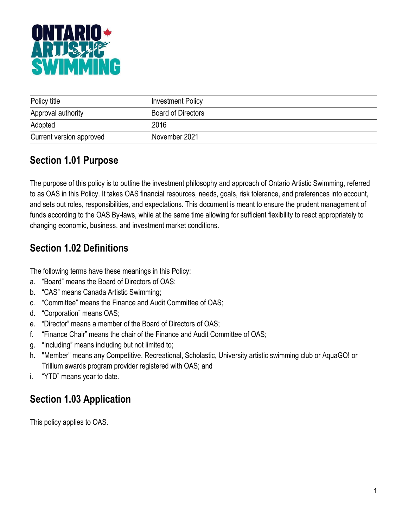

| Policy title             | <b>Investment Policy</b> |
|--------------------------|--------------------------|
| Approval authority       | Board of Directors       |
| Adopted                  | 2016                     |
| Current version approved | November 2021            |

# **Section 1.01 Purpose**

The purpose of this policy is to outline the investment philosophy and approach of Ontario Artistic Swimming, referred to as OAS in this Policy. It takes OAS financial resources, needs, goals, risk tolerance, and preferences into account, and sets out roles, responsibilities, and expectations. This document is meant to ensure the prudent management of funds according to the OAS By-laws, while at the same time allowing for sufficient flexibility to react appropriately to changing economic, business, and investment market conditions.

# **Section 1.02 Definitions**

The following terms have these meanings in this Policy:

- a. "Board" means the Board of Directors of OAS;
- b. "CAS" means Canada Artistic Swimming;
- c. "Committee" means the Finance and Audit Committee of OAS;
- d. "Corporation" means OAS;
- e. "Director" means a member of the Board of Directors of OAS;
- f. "Finance Chair" means the chair of the Finance and Audit Committee of OAS;
- g. "Including" means including but not limited to;
- h. "Member" means any Competitive, Recreational, Scholastic, University artistic swimming club or AquaGO! or Trillium awards program provider registered with OAS; and
- i. "YTD" means year to date.

# **Section 1.03 Application**

This policy applies to OAS.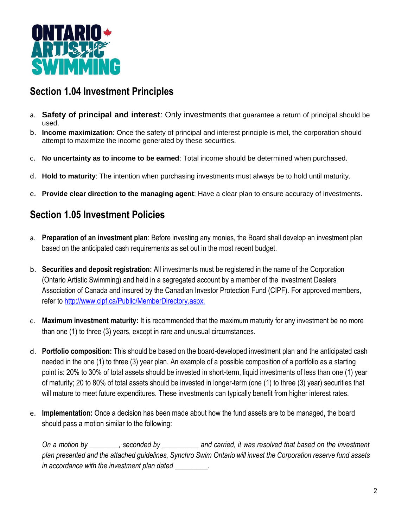

#### **Section 1.04 Investment Principles**

- a. **Safety of principal and interest**: Only investments that guarantee a return of principal should be used.
- b. **Income maximization**: Once the safety of principal and interest principle is met, the corporation should attempt to maximize the income generated by these securities.
- c. **No uncertainty as to income to be earned**: Total income should be determined when purchased.
- d. **Hold to maturity**: The intention when purchasing investments must always be to hold until maturity.
- e. **Provide clear direction to the managing agent**: Have a clear plan to ensure accuracy of investments.

### **Section 1.05 Investment Policies**

- a. **Preparation of an investment plan**: Before investing any monies, the Board shall develop an investment plan based on the anticipated cash requirements as set out in the most recent budget.
- b. **Securities and deposit registration:** All investments must be registered in the name of the Corporation (Ontario Artistic Swimming) and held in a segregated account by a member of the Investment Dealers Association of Canada and insured by the Canadian Investor Protection Fund (CIPF). For approved members, refer to [http://www.cipf.ca/Public/MemberDirectory.aspx.](http://www.cipf.ca/Public/MemberDirectory.aspx)
- c. **Maximum investment maturity:** It is recommended that the maximum maturity for any investment be no more than one (1) to three (3) years, except in rare and unusual circumstances.
- d. **Portfolio composition:** This should be based on the board-developed investment plan and the anticipated cash needed in the one (1) to three (3) year plan. An example of a possible composition of a portfolio as a starting point is: 20% to 30% of total assets should be invested in short-term, liquid investments of less than one (1) year of maturity; 20 to 80% of total assets should be invested in longer-term (one (1) to three (3) year) securities that will mature to meet future expenditures. These investments can typically benefit from higher interest rates.
- e. **Implementation:** Once a decision has been made about how the fund assets are to be managed, the board should pass a motion similar to the following:

*On a motion by \_\_\_\_\_\_\_\_, seconded by \_\_\_\_\_\_\_\_\_\_ and carried, it was resolved that based on the investment plan presented and the attached guidelines, Synchro Swim Ontario will invest the Corporation reserve fund assets in accordance with the investment plan dated \_\_\_\_\_\_\_\_\_.*